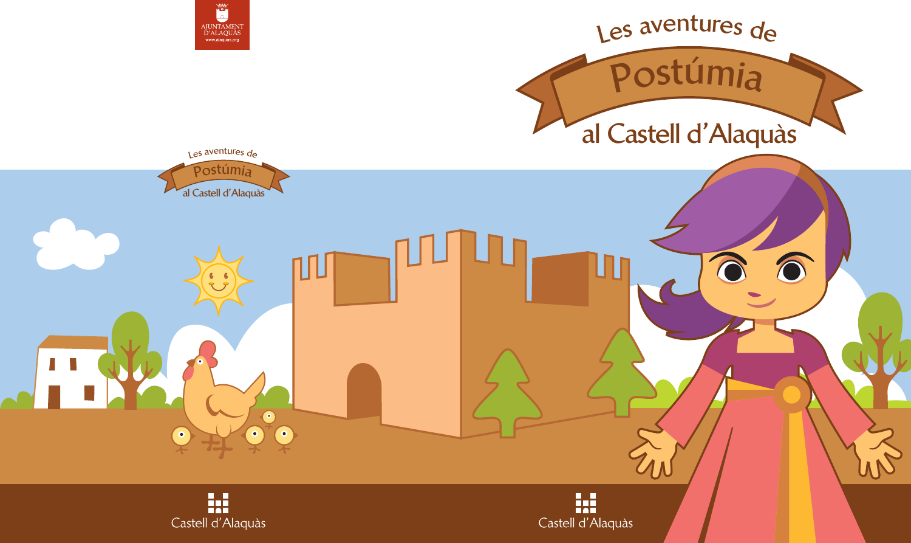





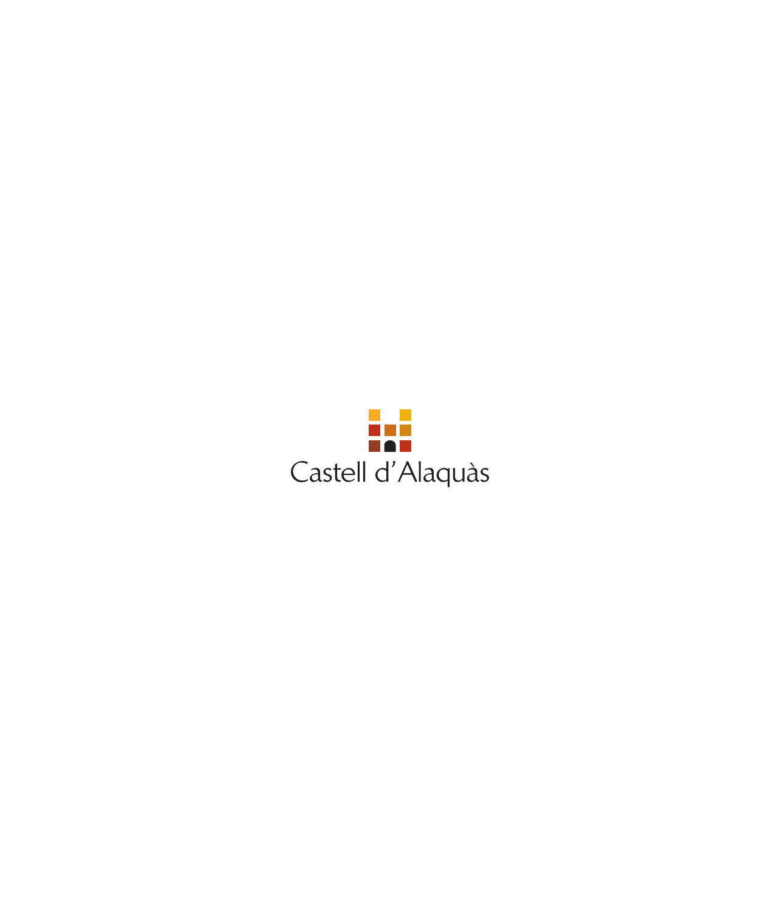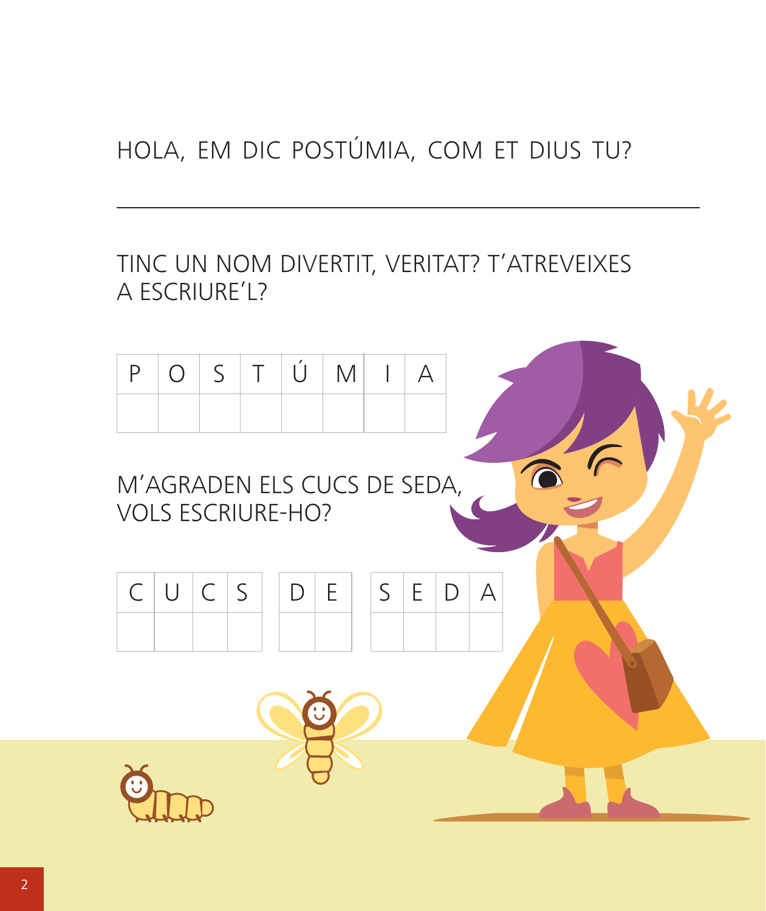# HOLA, EM DIC POSTÚMIA, COM ET DIUS TU?

TINC UN NOM DIVERTIT, VERITAT? T'ATREVEIXES A ESCRIURE'L?

C



M'AGRADEN ELS CUCS DE SEDA, **VOLS ESCRIURE-HO?** 

| $C U C S  D E  S E D A$ |  |  |  |  |  |
|-------------------------|--|--|--|--|--|
|                         |  |  |  |  |  |

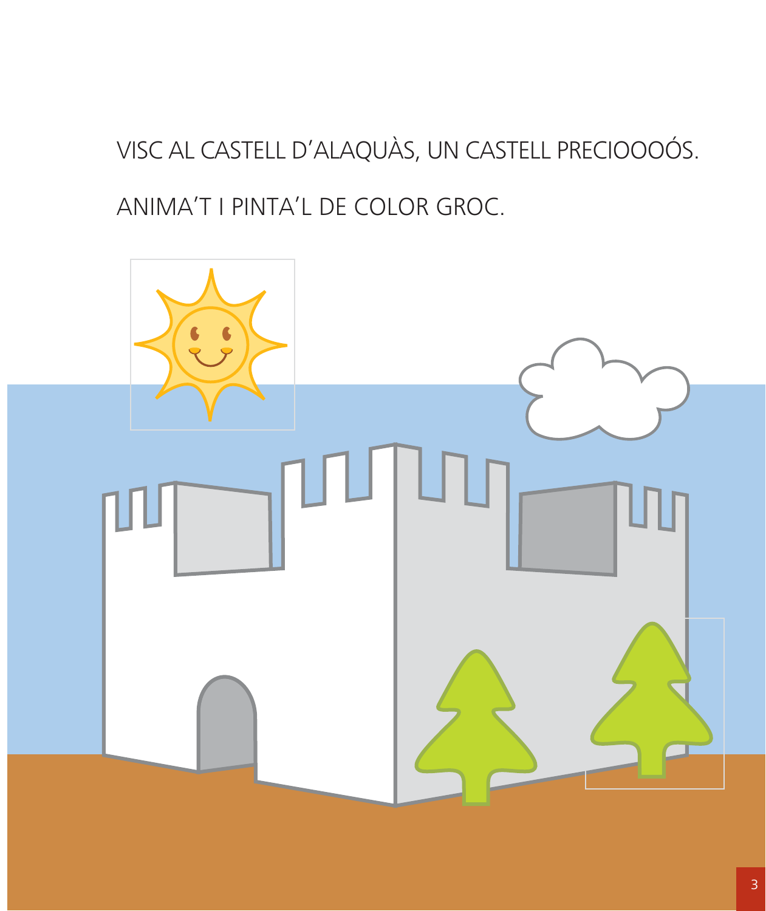# VISC AL CASTELL D'ALAQUÀS, UN CASTELL PRECIOOOÓS. ANIMA'T I PINTA'L DE COLOR GROC.

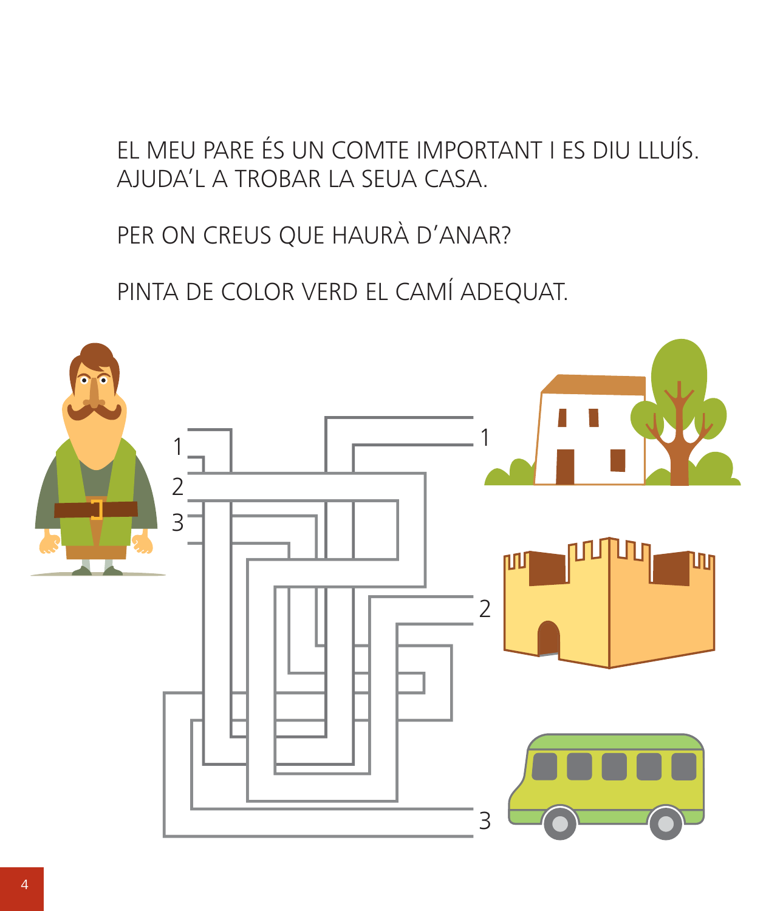EL MEU PARE ÉS UN COMTE IMPORTANT I ES DIU LLUÍS. AJUDA'L A TROBAR LA SEUA CASA.

PER ON CREUS QUE HAURÀ D'ANAR?

PINTA DE COLOR VERD EL CAMÍ ADEQUAT.

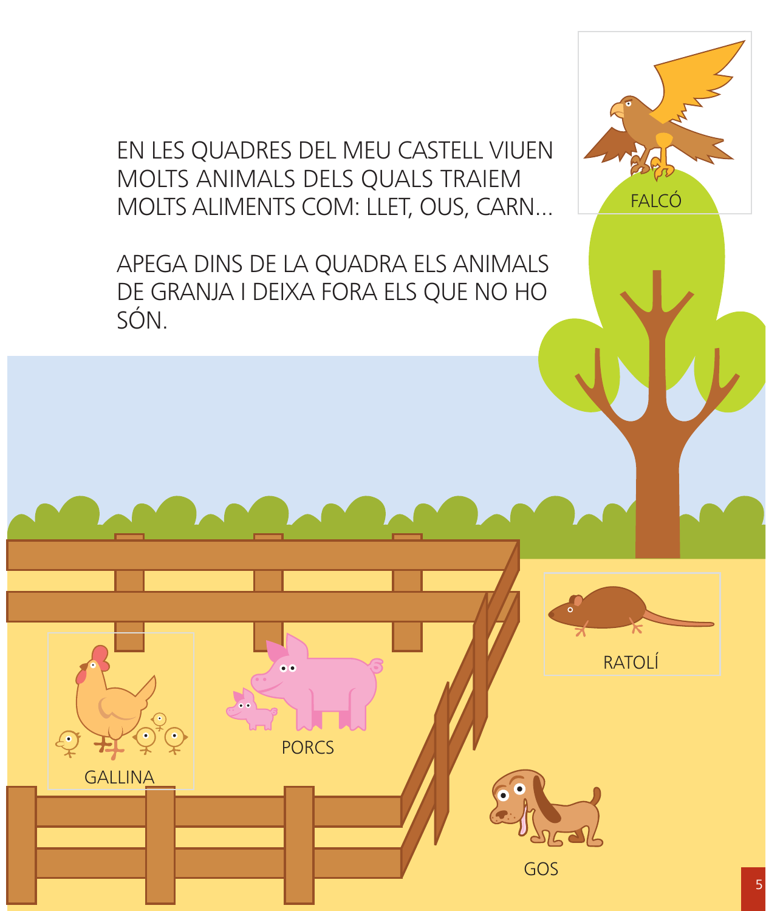EN LES QUADRES DEL MEU CASTELL VIUEN MOLTS ANIMALS DELS QUALS TRAIEM MOLTS ALIMENTS COM: LLET, OUS, CARN...

APEGA DINS DE LA QUADRA ELS ANIMALS DE GRANJA I DEIXA FORA ELS QUE NO HO SÓN.

**PORCS** 

 $\epsilon$ 

**GALLINA** 

 $\bullet$ 



GOS

**FALCÓ**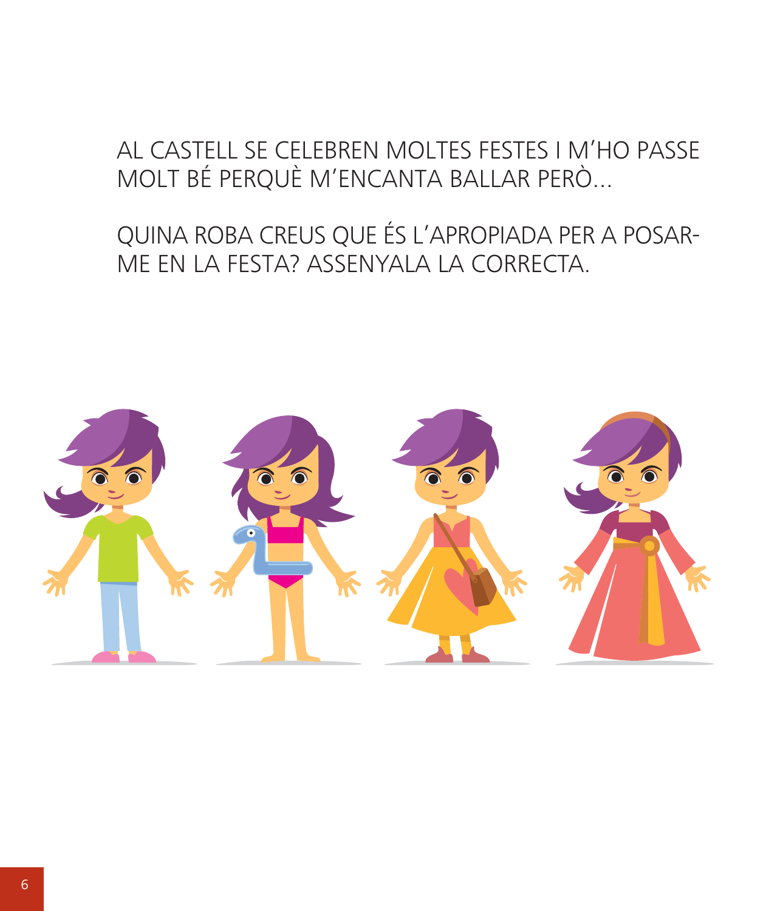#### AL CASTELL SE CELEBREN MOLTES FESTES I M'HO PASSE MOLT BÉ PERQUÈ M'ENCANTA BALLAR PERÒ...

#### QUINA ROBA CREUS QUE ÉS L'APROPIADA PER A POSAR-ME EN LA FESTA? ASSENYALA LA CORRECTA.

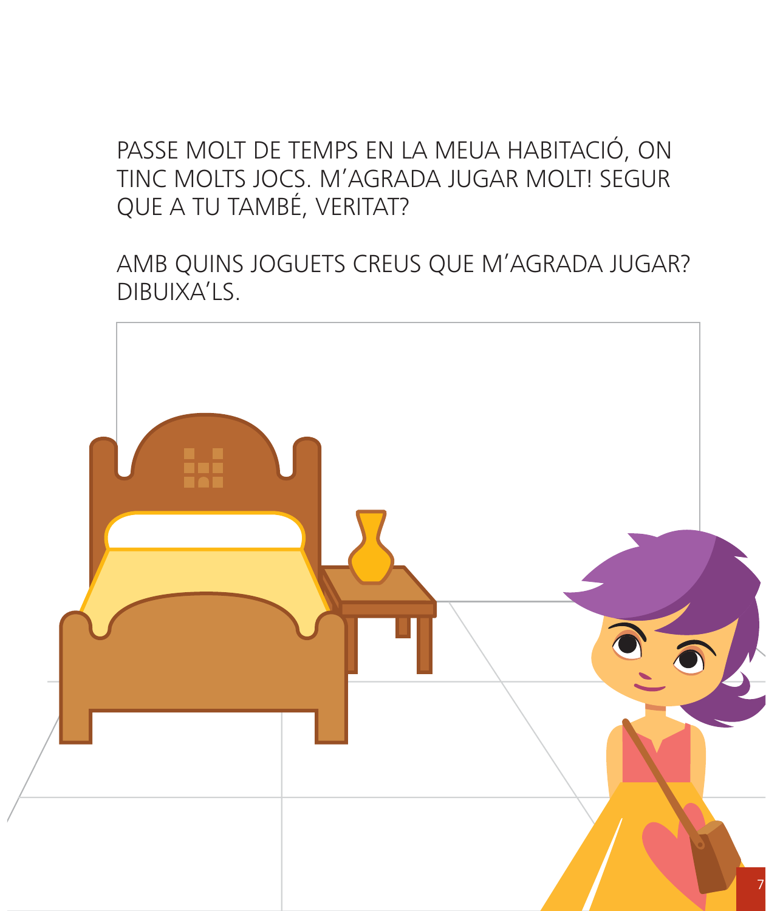#### PASSE MOLT DE TEMPS EN LA MEUA HABITACIÓ, ON TINC MOLTS JOCS. M'AGRADA JUGAR MOLT! SEGUR QUE A TU TAMBÉ, VERITAT?

AMB QUINS JOGUETS CREUS QUE M'AGRADA JUGAR? DIBUIXA'LS.

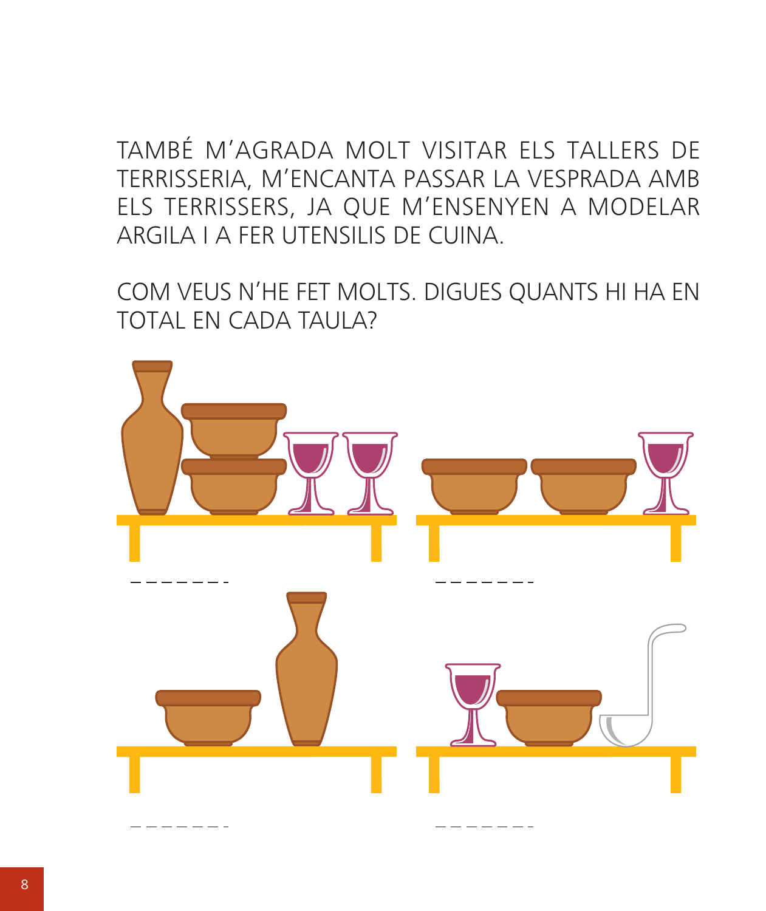TAMBÉ M'AGRADA MOLT VISITAR ELS TALLERS DE TERRISSERIA, M'ENCANTA PASSAR LA VESPRADA AMB ELS TERRISSERS, JA QUE M'ENSENYEN A MODELAR ARGILA I A FER UTENSILIS DE CUINA.

COM VEUS N'HE FET MOLTS. DIGUES QUANTS HI HA EN **TOTAL EN CADA TAULA?** 

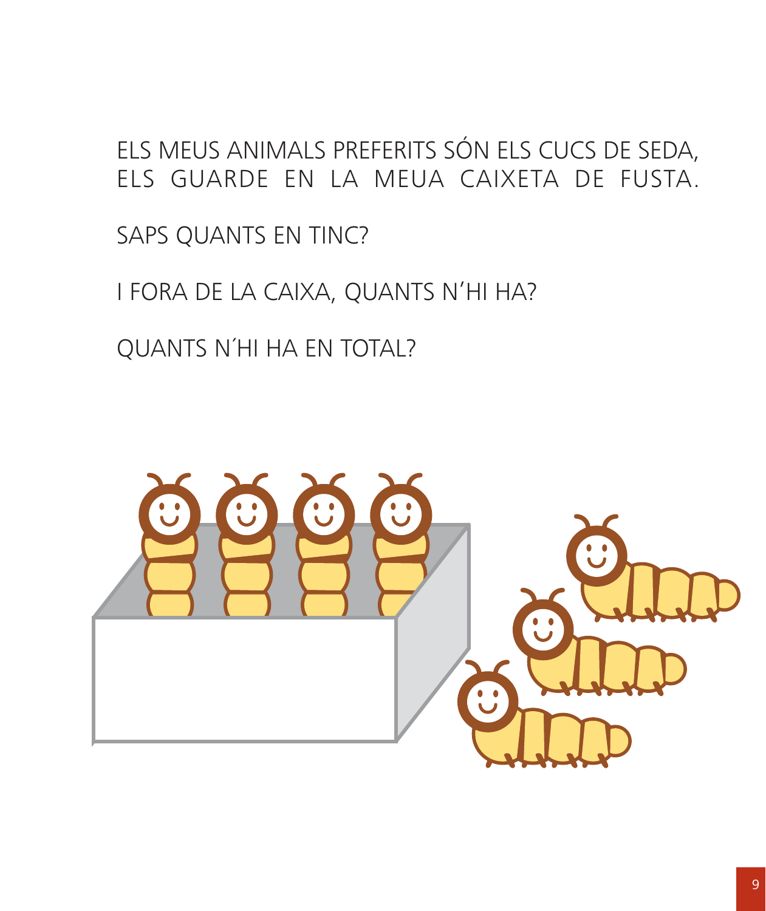## ELS MEUS ANIMALS PREFERITS SÓN ELS CUCS DE SEDA, ELS GUARDE EN LA MEUA CAIXETA DE FUSTA.

SAPS QUANTS EN TINC?

I FORA DE LA CAIXA, QUANTS N'HI HA?

**QUANTS N'HI HA EN TOTAL?** 

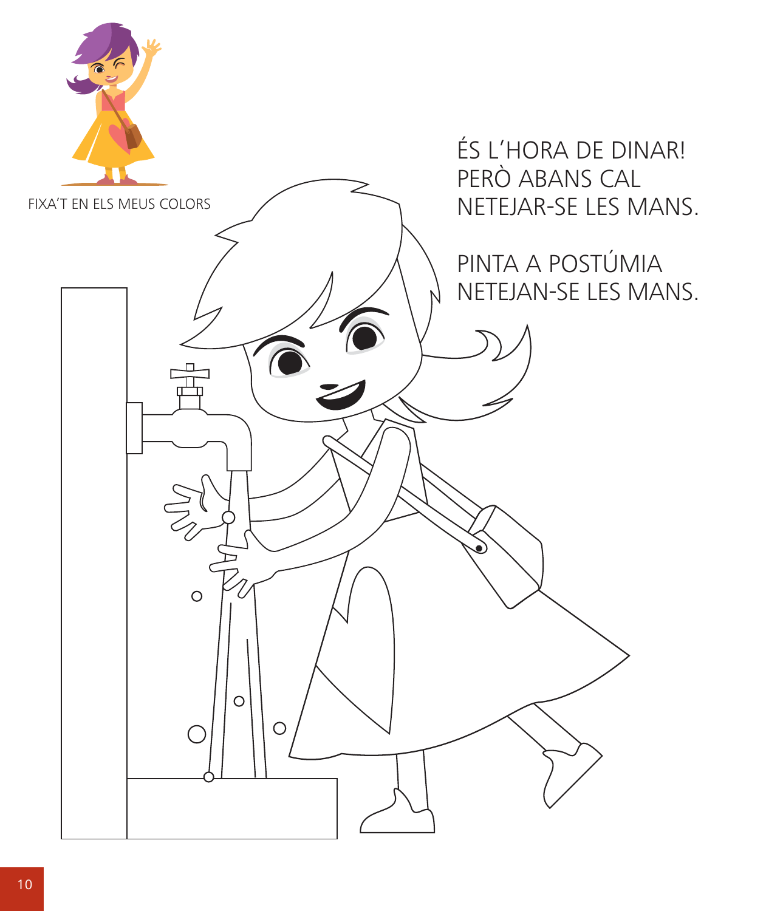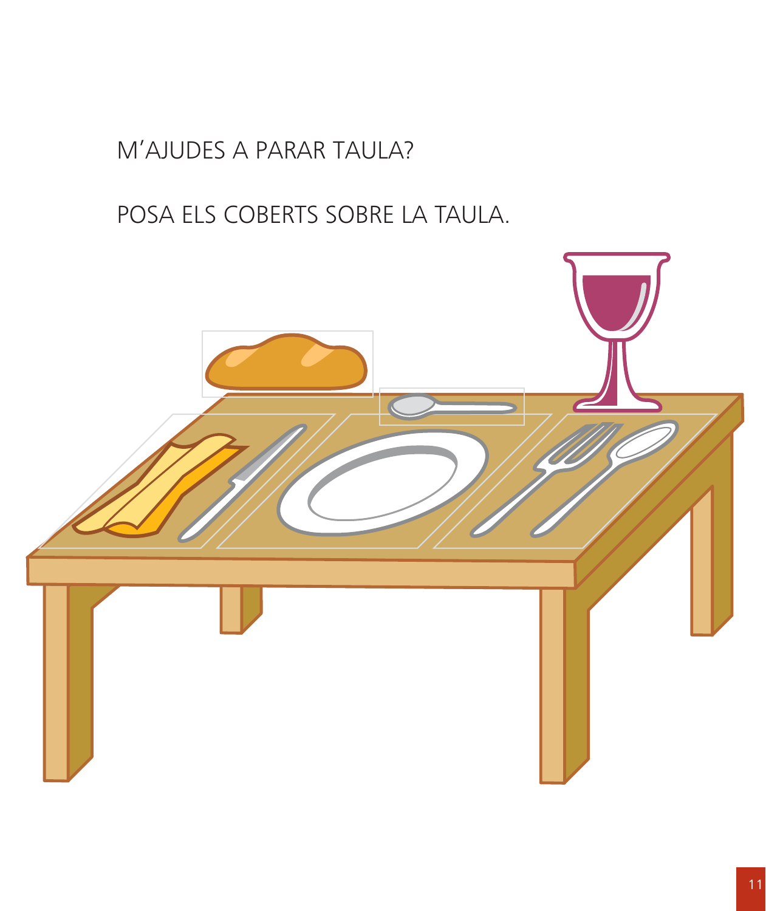#### M'AJUDES A PARAR TAULA?

# POSA ELS COBERTS SOBRE LA TAULA.

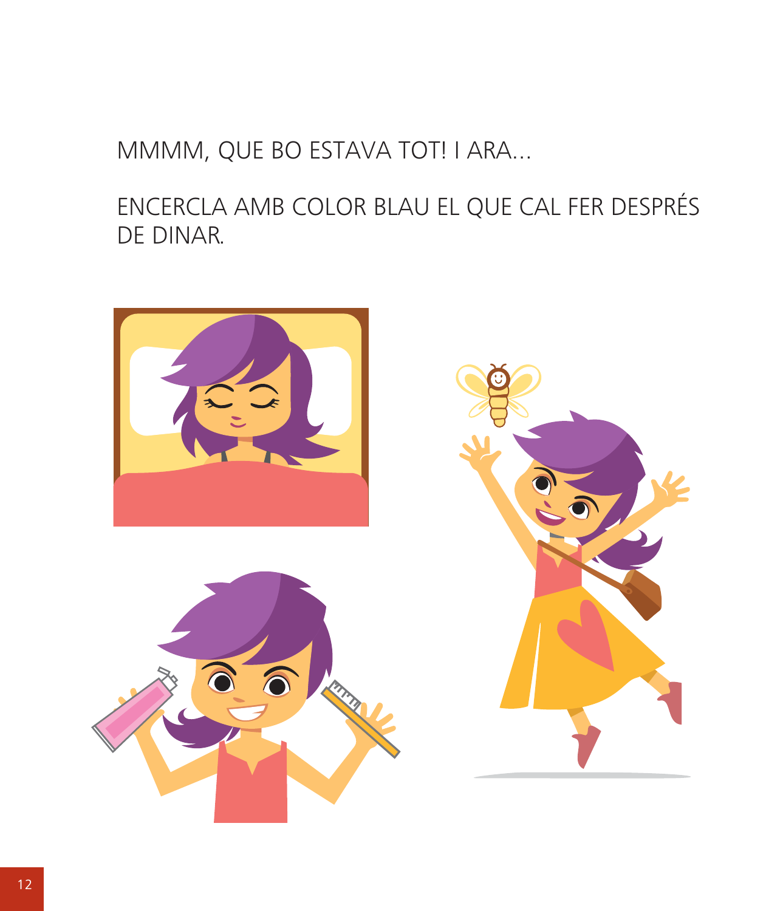MMMM, QUE BO ESTAVA TOT! I ARA...

ENCERCLA AMB COLOR BLAU EL QUE CAL FER DESPRÉS DE DINAR.

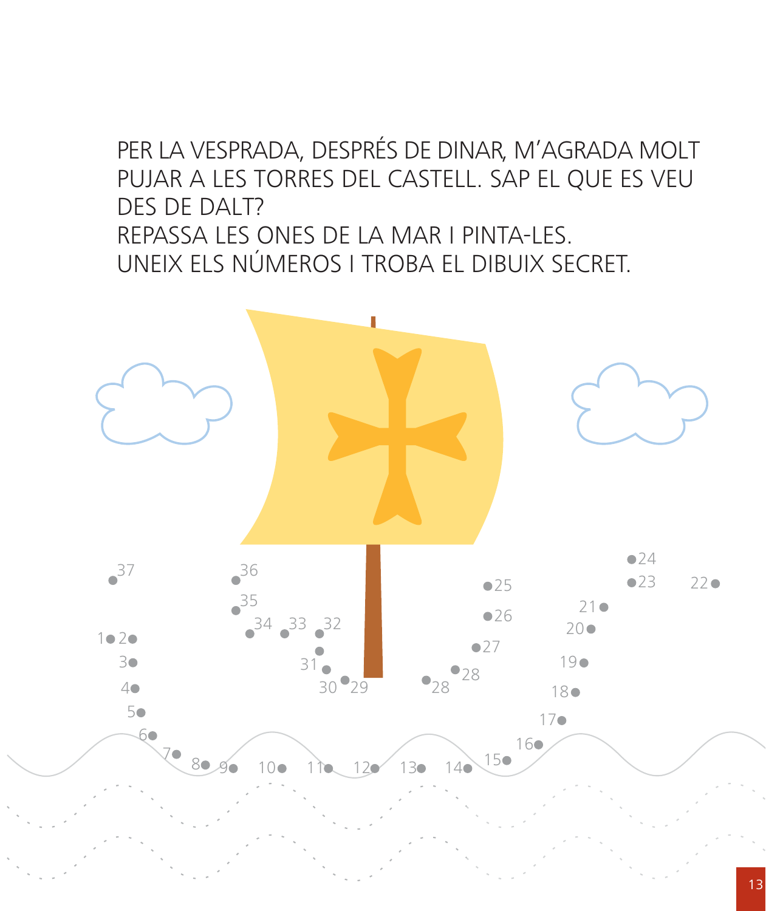#### PER LA VESPRADA, DESPRÉS DE DINAR, M'AGRADA MOLT PUJAR A LES TORRES DEL CASTELL. SAP EL QUE ES VEU DES DE DALT? REPASSA LES ONES DE LA MAR I PINTA-LES. UNEIX ELS NÚMEROS I TROBA EL DIBUIX SECRET.

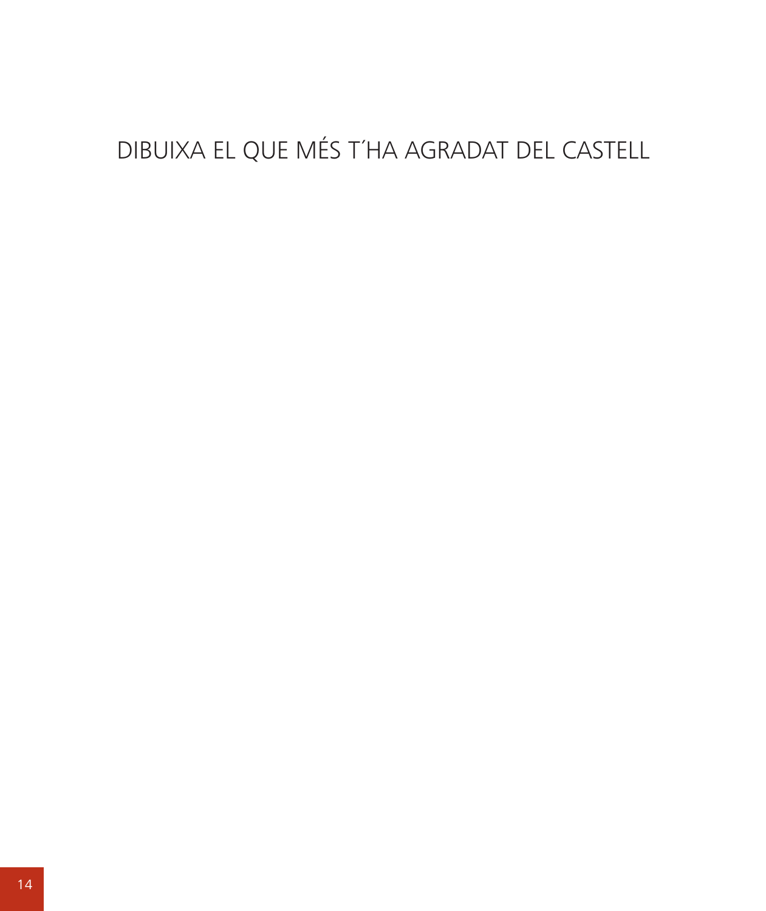# DIBUIXA EL QUE MÉS T'HA AGRADAT DEL CASTELL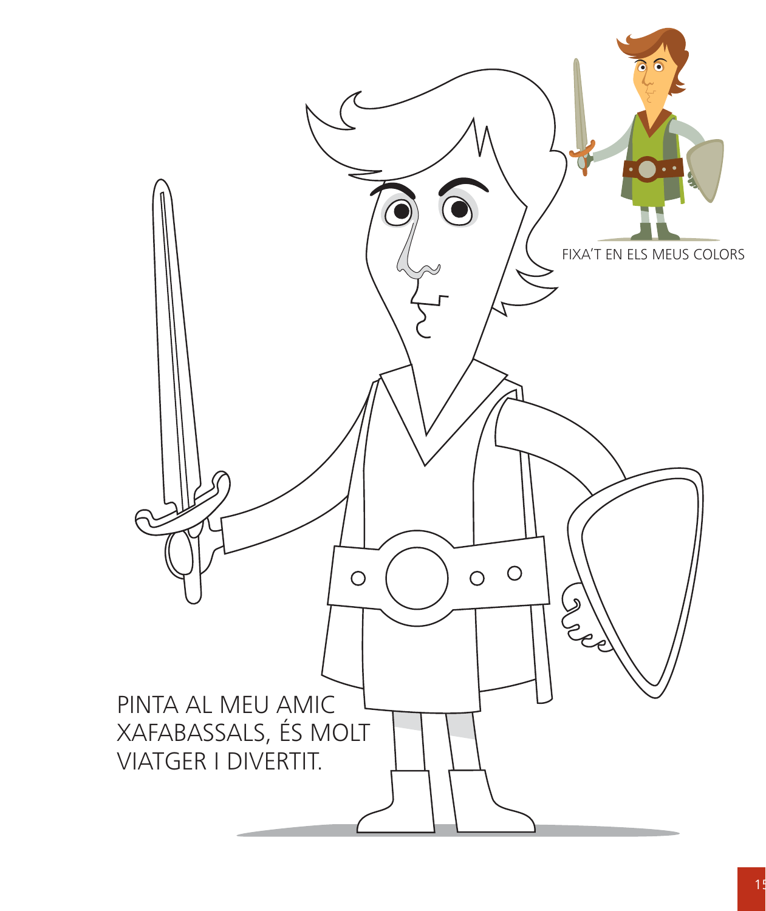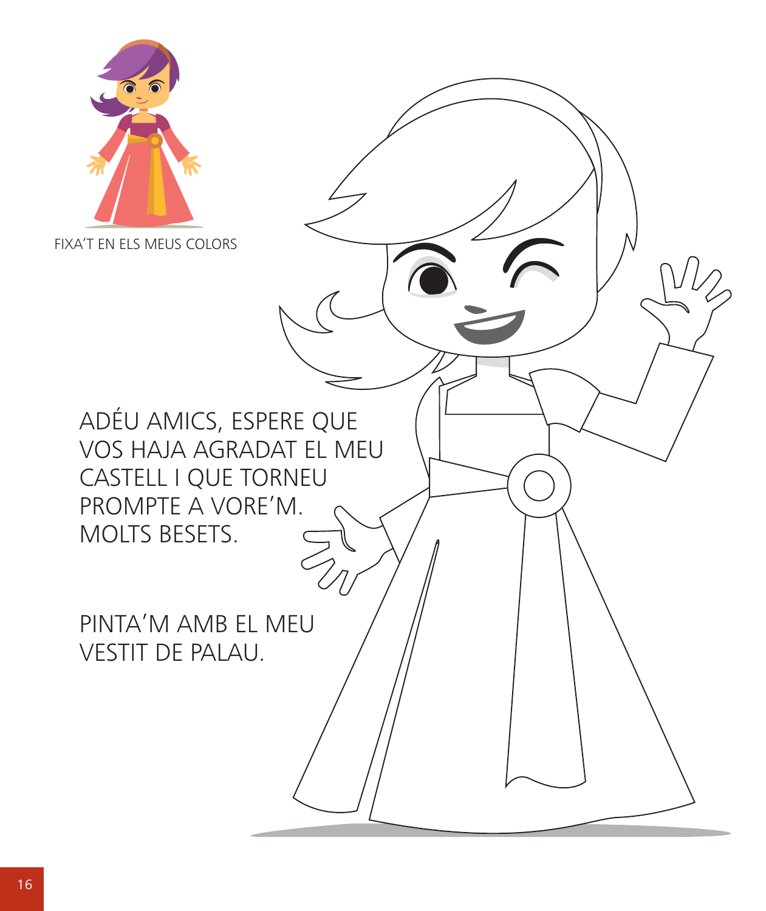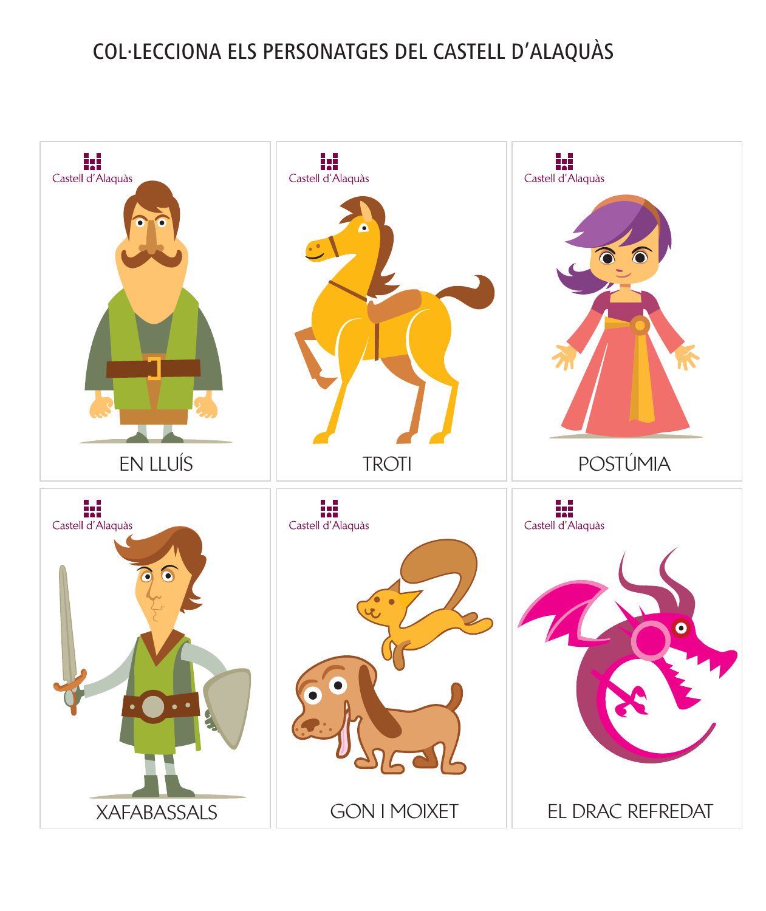#### COL·LECCIONA ELS PERSONATGES DEL CASTELL D'ALAQUÀS